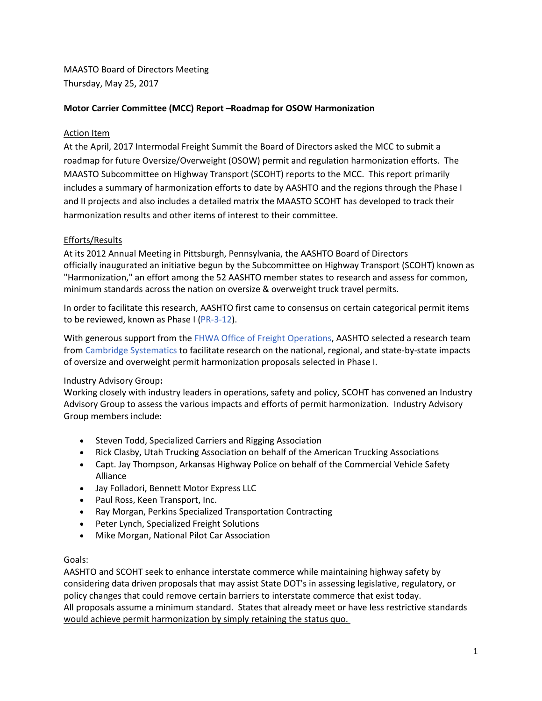MAASTO Board of Directors Meeting Thursday, May 25, 2017

## **Motor Carrier Committee (MCC) Report –Roadmap for OSOW Harmonization**

#### Action Item

At the April, 2017 Intermodal Freight Summit the Board of Directors asked the MCC to submit a roadmap for future Oversize/Overweight (OSOW) permit and regulation harmonization efforts. The MAASTO Subcommittee on Highway Transport (SCOHT) reports to the MCC. This report primarily includes a summary of harmonization efforts to date by AASHTO and the regions through the Phase I and II projects and also includes a detailed matrix the MAASTO SCOHT has developed to track their harmonization results and other items of interest to their committee.

### Efforts/Results

At its 2012 Annual Meeting in Pittsburgh, Pennsylvania, the AASHTO Board of Directors officially inaugurated an initiative begun by the Subcommittee on Highway Transport (SCOHT) known as "Harmonization," an effort among the 52 AASHTO member states to research and assess for common, minimum standards across the nation on oversize & overweight truck travel permits.

In order to facilitate this research, AASHTO first came to consensus on certain categorical permit items to be reviewed, known as Phase I [\(PR-3-12\)](http://highwaytransport.transportation.org/SiteCollectionDocuments/Harmonization%20Data%20Files/PR-3-12%20Actions%20to%20Reduce%20Impediments%20to%20Interstate%20Commerce%3b%20Harmonizing%20Requirements%20for%20Truck%20Permits.docx).

With generous support from th[e FHWA Office of Freight Operations,](http://www.ops.fhwa.dot.gov/freight/) AASHTO selected a research team from [Cambridge Systematics](http://www.camsys.com/) to facilitate research on the national, regional, and state-by-state impacts of oversize and overweight permit harmonization proposals selected in Phase I.

#### Industry Advisory Group**:**

Working closely with industry leaders in operations, safety and policy, SCOHT has convened an Industry Advisory Group to assess the various impacts and efforts of permit harmonization. Industry Advisory Group members include:

- Steven Todd, Specialized Carriers and Rigging Association
- Rick Clasby, Utah Trucking Association on behalf of the American Trucking Associations
- Capt. Jay Thompson, Arkansas Highway Police on behalf of the Commercial Vehicle Safety Alliance
- Jay Folladori, Bennett Motor Express LLC
- Paul Ross, Keen Transport, Inc.
- Ray Morgan, Perkins Specialized Transportation Contracting
- Peter Lynch, Specialized Freight Solutions
- Mike Morgan, National Pilot Car Association

#### Goals:

AASHTO and SCOHT seek to enhance interstate commerce while maintaining highway safety by considering data driven proposals that may assist State DOT's in assessing legislative, regulatory, or policy changes that could remove certain barriers to interstate commerce that exist today. All proposals assume a minimum standard. States that already meet or have less restrictive standards would achieve permit harmonization by simply retaining the status quo.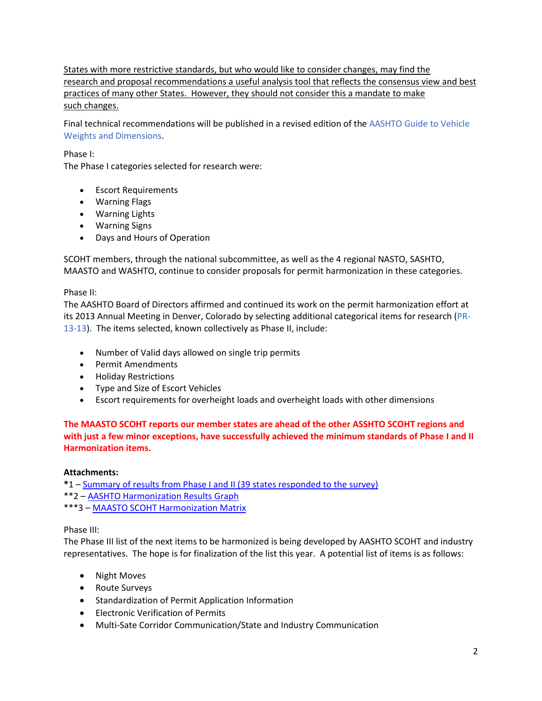States with more restrictive standards, but who would like to consider changes, may find the research and proposal recommendations a useful analysis tool that reflects the consensus view and best practices of many other States. However, they should not consider this a mandate to make such changes.

Final technical recommendations will be published in a revised edition of the [AASHTO Guide to Vehicle](https://bookstore.transportation.org/item_details.aspx?ID=1530)  [Weights and Dimensions.](https://bookstore.transportation.org/item_details.aspx?ID=1530)

Phase I:

The Phase I categories selected for research were:

- Escort Requirements
- Warning Flags
- Warning Lights
- Warning Signs
- Days and Hours of Operation

SCOHT members, through the national subcommittee, as well as the 4 regional NASTO, SASHTO, MAASTO and WASHTO, continue to consider proposals for permit harmonization in these categories.

Phase II:

The AASHTO Board of Directors affirmed and continued its work on the permit harmonization effort at its 2013 Annual Meeting in Denver, Colorado by selecting additional categorical items for research [\(PR-](http://highwaytransport.transportation.org/SiteCollectionDocuments/Harmonization%20Data%20Files/PR-13-13%20Action%20to%20Reduce%20Impediments%20to%20Interstate%20Commerce%20Harmonizing%20Requirements%20for%20Truck%20Permits%20-%20Phase%20II.docx)[13-13\)](http://highwaytransport.transportation.org/SiteCollectionDocuments/Harmonization%20Data%20Files/PR-13-13%20Action%20to%20Reduce%20Impediments%20to%20Interstate%20Commerce%20Harmonizing%20Requirements%20for%20Truck%20Permits%20-%20Phase%20II.docx). The items selected, known collectively as Phase II, include:

- Number of Valid days allowed on single trip permits
- Permit Amendments
- Holiday Restrictions
- Type and Size of Escort Vehicles
- Escort requirements for overheight loads and overheight loads with other dimensions

**The MAASTO SCOHT reports our member states are ahead of the other ASSHTO SCOHT regions and with just a few minor exceptions, have successfully achieved the minimum standards of Phase I and II Harmonization items.**

#### **Attachments:**

**\***1 – [Summary of results from Phase I and II \(39 states responded to the survey\)](http://maasto.net/documents/AASHTOPhase1and2.pptx) \*\*2 – [AASHTO Harmonization Results Graph](http://maasto.net/documents/AASHTOSummaryHarmonization1and2.pptx) \*\*\*3 – [MAASTO SCOHT Harmonization Matrix](http://maasto.net/documents/MAASTOSCOHTMATRIC.xlsx)

#### Phase III:

The Phase III list of the next items to be harmonized is being developed by AASHTO SCOHT and industry representatives. The hope is for finalization of the list this year. A potential list of items is as follows:

- Night Moves
- Route Surveys
- Standardization of Permit Application Information
- Electronic Verification of Permits
- Multi-Sate Corridor Communication/State and Industry Communication